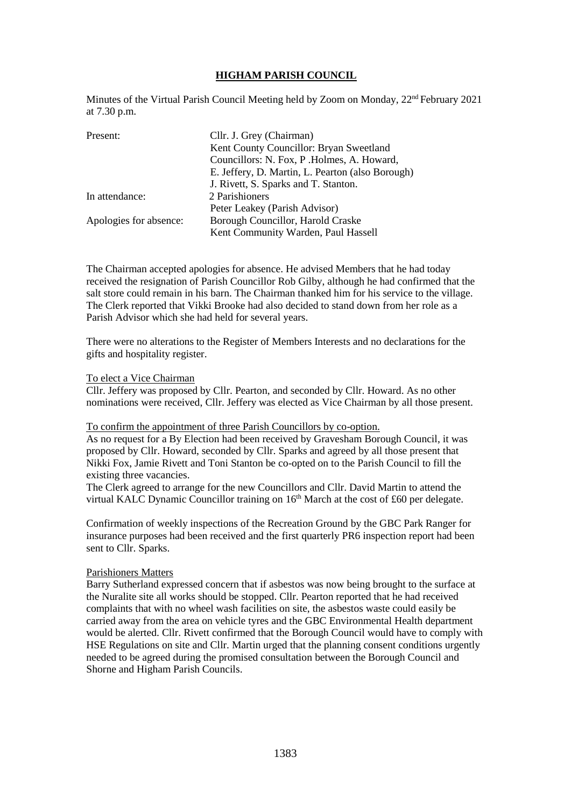## **HIGHAM PARISH COUNCIL**

Minutes of the Virtual Parish Council Meeting held by Zoom on Monday, 22<sup>nd</sup> February 2021 at 7.30 p.m.

| Cllr. J. Grey (Chairman)                         |
|--------------------------------------------------|
| Kent County Councillor: Bryan Sweetland          |
| Councillors: N. Fox, P. Holmes, A. Howard,       |
| E. Jeffery, D. Martin, L. Pearton (also Borough) |
| J. Rivett, S. Sparks and T. Stanton.             |
| 2 Parishioners                                   |
| Peter Leakey (Parish Advisor)                    |
| Borough Councillor, Harold Craske                |
| Kent Community Warden, Paul Hassell              |
|                                                  |

The Chairman accepted apologies for absence. He advised Members that he had today received the resignation of Parish Councillor Rob Gilby, although he had confirmed that the salt store could remain in his barn. The Chairman thanked him for his service to the village. The Clerk reported that Vikki Brooke had also decided to stand down from her role as a Parish Advisor which she had held for several years.

There were no alterations to the Register of Members Interests and no declarations for the gifts and hospitality register.

#### To elect a Vice Chairman

Cllr. Jeffery was proposed by Cllr. Pearton, and seconded by Cllr. Howard. As no other nominations were received, Cllr. Jeffery was elected as Vice Chairman by all those present.

#### To confirm the appointment of three Parish Councillors by co-option.

As no request for a By Election had been received by Gravesham Borough Council, it was proposed by Cllr. Howard, seconded by Cllr. Sparks and agreed by all those present that Nikki Fox, Jamie Rivett and Toni Stanton be co-opted on to the Parish Council to fill the existing three vacancies.

The Clerk agreed to arrange for the new Councillors and Cllr. David Martin to attend the virtual KALC Dynamic Councillor training on 16<sup>th</sup> March at the cost of £60 per delegate.

Confirmation of weekly inspections of the Recreation Ground by the GBC Park Ranger for insurance purposes had been received and the first quarterly PR6 inspection report had been sent to Cllr. Sparks.

#### Parishioners Matters

Barry Sutherland expressed concern that if asbestos was now being brought to the surface at the Nuralite site all works should be stopped. Cllr. Pearton reported that he had received complaints that with no wheel wash facilities on site, the asbestos waste could easily be carried away from the area on vehicle tyres and the GBC Environmental Health department would be alerted. Cllr. Rivett confirmed that the Borough Council would have to comply with HSE Regulations on site and Cllr. Martin urged that the planning consent conditions urgently needed to be agreed during the promised consultation between the Borough Council and Shorne and Higham Parish Councils.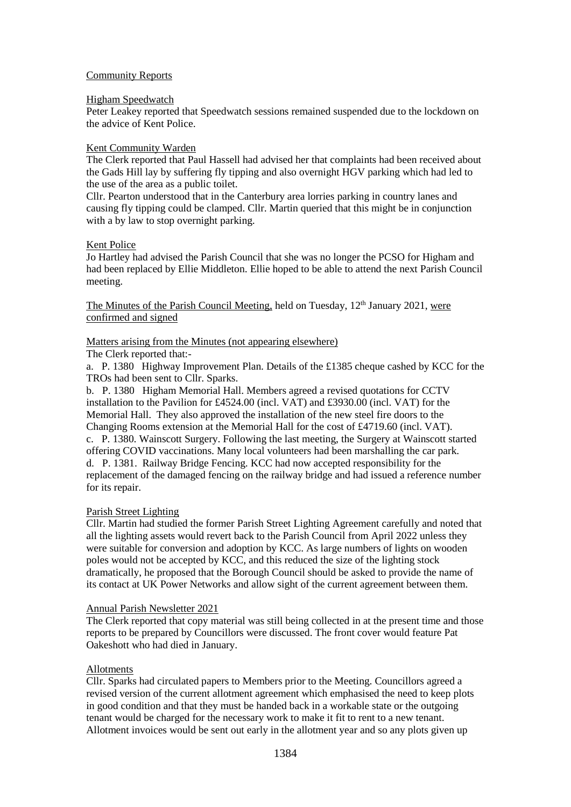## Community Reports

#### Higham Speedwatch

Peter Leakey reported that Speedwatch sessions remained suspended due to the lockdown on the advice of Kent Police.

## Kent Community Warden

The Clerk reported that Paul Hassell had advised her that complaints had been received about the Gads Hill lay by suffering fly tipping and also overnight HGV parking which had led to the use of the area as a public toilet.

Cllr. Pearton understood that in the Canterbury area lorries parking in country lanes and causing fly tipping could be clamped. Cllr. Martin queried that this might be in conjunction with a by law to stop overnight parking.

## Kent Police

Jo Hartley had advised the Parish Council that she was no longer the PCSO for Higham and had been replaced by Ellie Middleton. Ellie hoped to be able to attend the next Parish Council meeting.

The Minutes of the Parish Council Meeting, held on Tuesday,  $12<sup>th</sup>$  January 2021, were confirmed and signed

## Matters arising from the Minutes (not appearing elsewhere)

The Clerk reported that:-

a. P. 1380 Highway Improvement Plan. Details of the £1385 cheque cashed by KCC for the TROs had been sent to Cllr. Sparks.

b. P. 1380 Higham Memorial Hall. Members agreed a revised quotations for CCTV installation to the Pavilion for £4524.00 (incl. VAT) and £3930.00 (incl. VAT) for the Memorial Hall. They also approved the installation of the new steel fire doors to the Changing Rooms extension at the Memorial Hall for the cost of £4719.60 (incl. VAT). c. P. 1380. Wainscott Surgery. Following the last meeting, the Surgery at Wainscott started offering COVID vaccinations. Many local volunteers had been marshalling the car park. d. P. 1381. Railway Bridge Fencing. KCC had now accepted responsibility for the replacement of the damaged fencing on the railway bridge and had issued a reference number for its repair.

## Parish Street Lighting

Cllr. Martin had studied the former Parish Street Lighting Agreement carefully and noted that all the lighting assets would revert back to the Parish Council from April 2022 unless they were suitable for conversion and adoption by KCC. As large numbers of lights on wooden poles would not be accepted by KCC, and this reduced the size of the lighting stock dramatically, he proposed that the Borough Council should be asked to provide the name of its contact at UK Power Networks and allow sight of the current agreement between them.

#### Annual Parish Newsletter 2021

The Clerk reported that copy material was still being collected in at the present time and those reports to be prepared by Councillors were discussed. The front cover would feature Pat Oakeshott who had died in January.

## Allotments

Cllr. Sparks had circulated papers to Members prior to the Meeting. Councillors agreed a revised version of the current allotment agreement which emphasised the need to keep plots in good condition and that they must be handed back in a workable state or the outgoing tenant would be charged for the necessary work to make it fit to rent to a new tenant. Allotment invoices would be sent out early in the allotment year and so any plots given up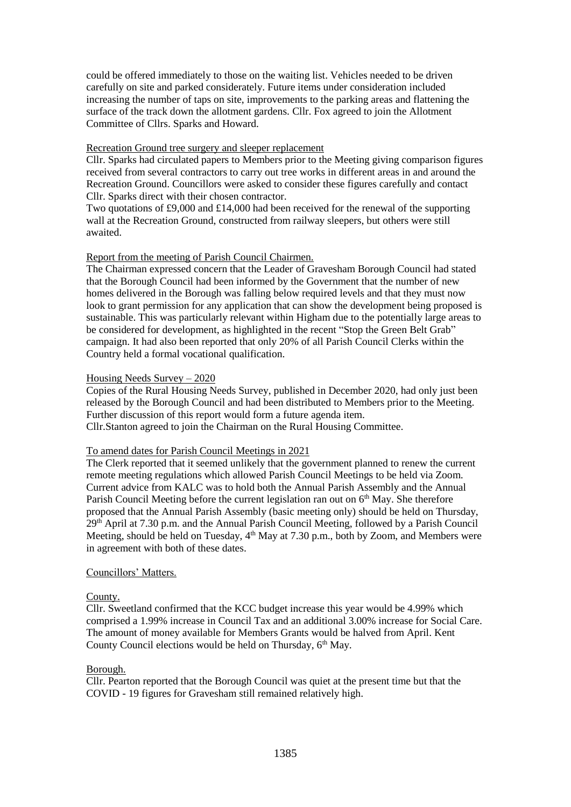could be offered immediately to those on the waiting list. Vehicles needed to be driven carefully on site and parked considerately. Future items under consideration included increasing the number of taps on site, improvements to the parking areas and flattening the surface of the track down the allotment gardens. Cllr. Fox agreed to join the Allotment Committee of Cllrs. Sparks and Howard.

#### Recreation Ground tree surgery and sleeper replacement

Cllr. Sparks had circulated papers to Members prior to the Meeting giving comparison figures received from several contractors to carry out tree works in different areas in and around the Recreation Ground. Councillors were asked to consider these figures carefully and contact Cllr. Sparks direct with their chosen contractor.

Two quotations of £9,000 and £14,000 had been received for the renewal of the supporting wall at the Recreation Ground, constructed from railway sleepers, but others were still awaited.

## Report from the meeting of Parish Council Chairmen.

The Chairman expressed concern that the Leader of Gravesham Borough Council had stated that the Borough Council had been informed by the Government that the number of new homes delivered in the Borough was falling below required levels and that they must now look to grant permission for any application that can show the development being proposed is sustainable. This was particularly relevant within Higham due to the potentially large areas to be considered for development, as highlighted in the recent "Stop the Green Belt Grab" campaign. It had also been reported that only 20% of all Parish Council Clerks within the Country held a formal vocational qualification.

## Housing Needs Survey – 2020

Copies of the Rural Housing Needs Survey, published in December 2020, had only just been released by the Borough Council and had been distributed to Members prior to the Meeting. Further discussion of this report would form a future agenda item. Cllr.Stanton agreed to join the Chairman on the Rural Housing Committee.

#### To amend dates for Parish Council Meetings in 2021

The Clerk reported that it seemed unlikely that the government planned to renew the current remote meeting regulations which allowed Parish Council Meetings to be held via Zoom. Current advice from KALC was to hold both the Annual Parish Assembly and the Annual Parish Council Meeting before the current legislation ran out on  $6<sup>th</sup>$  May. She therefore proposed that the Annual Parish Assembly (basic meeting only) should be held on Thursday, 29th April at 7.30 p.m. and the Annual Parish Council Meeting, followed by a Parish Council Meeting, should be held on Tuesday,  $4<sup>th</sup>$  May at 7.30 p.m., both by Zoom, and Members were in agreement with both of these dates.

#### Councillors' Matters.

#### County.

Cllr. Sweetland confirmed that the KCC budget increase this year would be 4.99% which comprised a 1.99% increase in Council Tax and an additional 3.00% increase for Social Care. The amount of money available for Members Grants would be halved from April. Kent County Council elections would be held on Thursday, 6<sup>th</sup> May.

#### Borough.

Cllr. Pearton reported that the Borough Council was quiet at the present time but that the COVID - 19 figures for Gravesham still remained relatively high.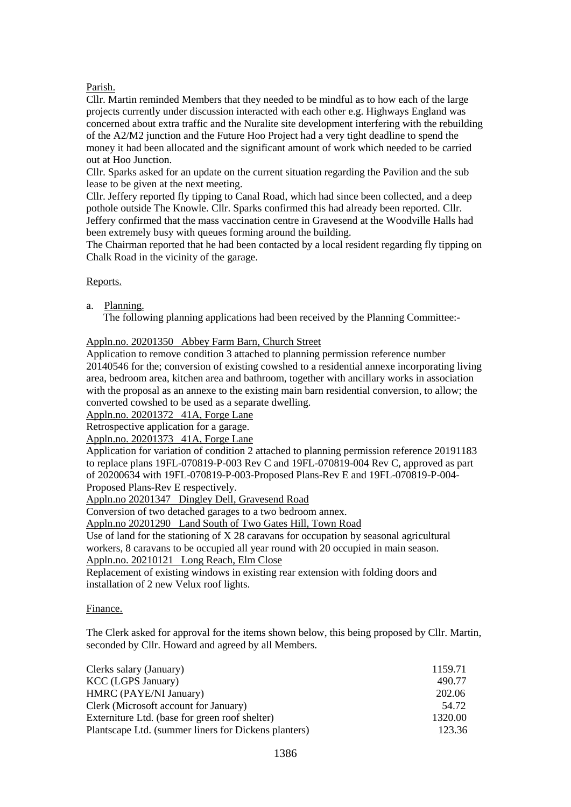# Parish.

Cllr. Martin reminded Members that they needed to be mindful as to how each of the large projects currently under discussion interacted with each other e.g. Highways England was concerned about extra traffic and the Nuralite site development interfering with the rebuilding of the A2/M2 junction and the Future Hoo Project had a very tight deadline to spend the money it had been allocated and the significant amount of work which needed to be carried out at Hoo Junction.

Cllr. Sparks asked for an update on the current situation regarding the Pavilion and the sub lease to be given at the next meeting.

Cllr. Jeffery reported fly tipping to Canal Road, which had since been collected, and a deep pothole outside The Knowle. Cllr. Sparks confirmed this had already been reported. Cllr. Jeffery confirmed that the mass vaccination centre in Gravesend at the Woodville Halls had been extremely busy with queues forming around the building.

The Chairman reported that he had been contacted by a local resident regarding fly tipping on Chalk Road in the vicinity of the garage.

## Reports.

## a. Planning.

The following planning applications had been received by the Planning Committee:-

Appln.no. 20201350 Abbey Farm Barn, Church Street

Application to remove condition 3 attached to planning permission reference number 20140546 for the; conversion of existing cowshed to a residential annexe incorporating living area, bedroom area, kitchen area and bathroom, together with ancillary works in association with the proposal as an annexe to the existing main barn residential conversion, to allow; the converted cowshed to be used as a separate dwelling.

Appln.no. 20201372 41A, Forge Lane

Retrospective application for a garage.

Appln.no. 20201373 41A, Forge Lane

Application for variation of condition 2 attached to planning permission reference 20191183 to replace plans 19FL-070819-P-003 Rev C and 19FL-070819-004 Rev C, approved as part of 20200634 with 19FL-070819-P-003-Proposed Plans-Rev E and 19FL-070819-P-004- Proposed Plans-Rev E respectively.

Appln.no 20201347 Dingley Dell, Gravesend Road

Conversion of two detached garages to a two bedroom annex.

Appln.no 20201290 Land South of Two Gates Hill, Town Road

Use of land for the stationing of X 28 caravans for occupation by seasonal agricultural workers, 8 caravans to be occupied all year round with 20 occupied in main season.

Appln.no. 20210121 Long Reach, Elm Close

Replacement of existing windows in existing rear extension with folding doors and installation of 2 new Velux roof lights.

## Finance.

The Clerk asked for approval for the items shown below, this being proposed by Cllr. Martin, seconded by Cllr. Howard and agreed by all Members.

| Clerks salary (January)                              | 1159.71 |
|------------------------------------------------------|---------|
| <b>KCC</b> (LGPS January)                            | 490.77  |
| HMRC (PAYE/NI January)                               | 202.06  |
| Clerk (Microsoft account for January)                | 54.72   |
| Externiture Ltd. (base for green roof shelter)       | 1320.00 |
| Plantscape Ltd. (summer liners for Dickens planters) | 123.36  |